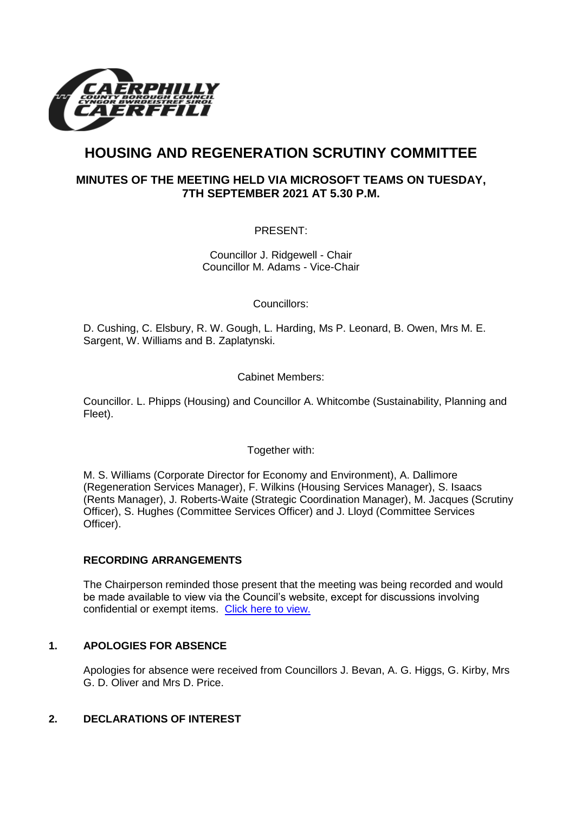

# **HOUSING AND REGENERATION SCRUTINY COMMITTEE**

# **MINUTES OF THE MEETING HELD VIA MICROSOFT TEAMS ON TUESDAY, 7TH SEPTEMBER 2021 AT 5.30 P.M.**

PRESENT:

Councillor J. Ridgewell - Chair Councillor M. Adams - Vice-Chair

Councillors:

D. Cushing, C. Elsbury, R. W. Gough, L. Harding, Ms P. Leonard, B. Owen, Mrs M. E. Sargent, W. Williams and B. Zaplatynski.

Cabinet Members:

Councillor. L. Phipps (Housing) and Councillor A. Whitcombe (Sustainability, Planning and Fleet).

Together with:

M. S. Williams (Corporate Director for Economy and Environment), A. Dallimore (Regeneration Services Manager), F. Wilkins (Housing Services Manager), S. Isaacs (Rents Manager), J. Roberts-Waite (Strategic Coordination Manager), M. Jacques (Scrutiny Officer), S. Hughes (Committee Services Officer) and J. Lloyd (Committee Services Officer).

# **RECORDING ARRANGEMENTS**

The Chairperson reminded those present that the meeting was being recorded and would be made available to view via the Council's website, except for discussions involving confidential or exempt items. [Click here to view.](https://www.caerphilly.gov.uk/My-Council/Meetings,-agendas,-minutes-and-reports/Council-meetings)

# **1. APOLOGIES FOR ABSENCE**

Apologies for absence were received from Councillors J. Bevan, A. G. Higgs, G. Kirby, Mrs G. D. Oliver and Mrs D. Price.

# **2. DECLARATIONS OF INTEREST**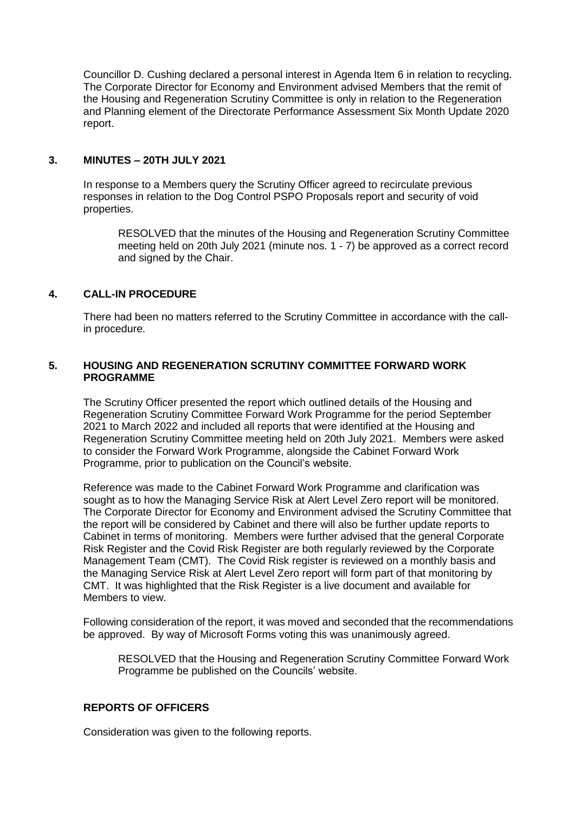Councillor D. Cushing declared a personal interest in Agenda Item 6 in relation to recycling. The Corporate Director for Economy and Environment advised Members that the remit of the Housing and Regeneration Scrutiny Committee is only in relation to the Regeneration and Planning element of the Directorate Performance Assessment Six Month Update 2020 report.

#### **3. MINUTES – 20TH JULY 2021**

In response to a Members query the Scrutiny Officer agreed to recirculate previous responses in relation to the Dog Control PSPO Proposals report and security of void properties.

RESOLVED that the minutes of the Housing and Regeneration Scrutiny Committee meeting held on 20th July 2021 (minute nos. 1 - 7) be approved as a correct record and signed by the Chair.

# **4. CALL-IN PROCEDURE**

There had been no matters referred to the Scrutiny Committee in accordance with the callin procedure.

## **5. HOUSING AND REGENERATION SCRUTINY COMMITTEE FORWARD WORK PROGRAMME**

The Scrutiny Officer presented the report which outlined details of the Housing and Regeneration Scrutiny Committee Forward Work Programme for the period September 2021 to March 2022 and included all reports that were identified at the Housing and Regeneration Scrutiny Committee meeting held on 20th July 2021. Members were asked to consider the Forward Work Programme, alongside the Cabinet Forward Work Programme, prior to publication on the Council's website.

Reference was made to the Cabinet Forward Work Programme and clarification was sought as to how the Managing Service Risk at Alert Level Zero report will be monitored. The Corporate Director for Economy and Environment advised the Scrutiny Committee that the report will be considered by Cabinet and there will also be further update reports to Cabinet in terms of monitoring. Members were further advised that the general Corporate Risk Register and the Covid Risk Register are both regularly reviewed by the Corporate Management Team (CMT). The Covid Risk register is reviewed on a monthly basis and the Managing Service Risk at Alert Level Zero report will form part of that monitoring by CMT. It was highlighted that the Risk Register is a live document and available for Members to view.

Following consideration of the report, it was moved and seconded that the recommendations be approved. By way of Microsoft Forms voting this was unanimously agreed.

RESOLVED that the Housing and Regeneration Scrutiny Committee Forward Work Programme be published on the Councils' website.

## **REPORTS OF OFFICERS**

Consideration was given to the following reports.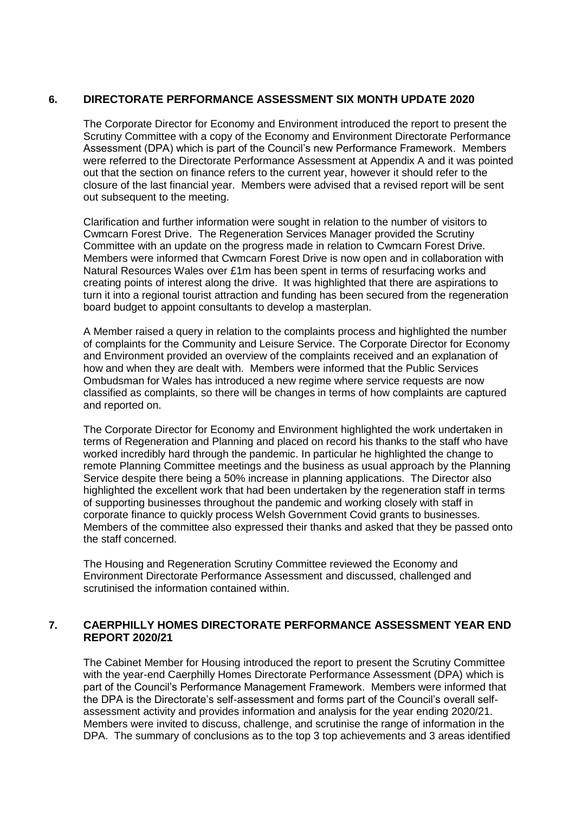## **6. DIRECTORATE PERFORMANCE ASSESSMENT SIX MONTH UPDATE 2020**

The Corporate Director for Economy and Environment introduced the report to present the Scrutiny Committee with a copy of the Economy and Environment Directorate Performance Assessment (DPA) which is part of the Council's new Performance Framework. Members were referred to the Directorate Performance Assessment at Appendix A and it was pointed out that the section on finance refers to the current year, however it should refer to the closure of the last financial year. Members were advised that a revised report will be sent out subsequent to the meeting.

Clarification and further information were sought in relation to the number of visitors to Cwmcarn Forest Drive. The Regeneration Services Manager provided the Scrutiny Committee with an update on the progress made in relation to Cwmcarn Forest Drive. Members were informed that Cwmcarn Forest Drive is now open and in collaboration with Natural Resources Wales over £1m has been spent in terms of resurfacing works and creating points of interest along the drive. It was highlighted that there are aspirations to turn it into a regional tourist attraction and funding has been secured from the regeneration board budget to appoint consultants to develop a masterplan.

A Member raised a query in relation to the complaints process and highlighted the number of complaints for the Community and Leisure Service. The Corporate Director for Economy and Environment provided an overview of the complaints received and an explanation of how and when they are dealt with. Members were informed that the Public Services Ombudsman for Wales has introduced a new regime where service requests are now classified as complaints, so there will be changes in terms of how complaints are captured and reported on.

The Corporate Director for Economy and Environment highlighted the work undertaken in terms of Regeneration and Planning and placed on record his thanks to the staff who have worked incredibly hard through the pandemic. In particular he highlighted the change to remote Planning Committee meetings and the business as usual approach by the Planning Service despite there being a 50% increase in planning applications. The Director also highlighted the excellent work that had been undertaken by the regeneration staff in terms of supporting businesses throughout the pandemic and working closely with staff in corporate finance to quickly process Welsh Government Covid grants to businesses. Members of the committee also expressed their thanks and asked that they be passed onto the staff concerned.

The Housing and Regeneration Scrutiny Committee reviewed the Economy and Environment Directorate Performance Assessment and discussed, challenged and scrutinised the information contained within.

## **7. CAERPHILLY HOMES DIRECTORATE PERFORMANCE ASSESSMENT YEAR END REPORT 2020/21**

The Cabinet Member for Housing introduced the report to present the Scrutiny Committee with the vear-end Caerphilly Homes Directorate Performance Assessment (DPA) which is part of the Council's Performance Management Framework. Members were informed that the DPA is the Directorate's self-assessment and forms part of the Council's overall selfassessment activity and provides information and analysis for the year ending 2020/21. Members were invited to discuss, challenge, and scrutinise the range of information in the DPA. The summary of conclusions as to the top 3 top achievements and 3 areas identified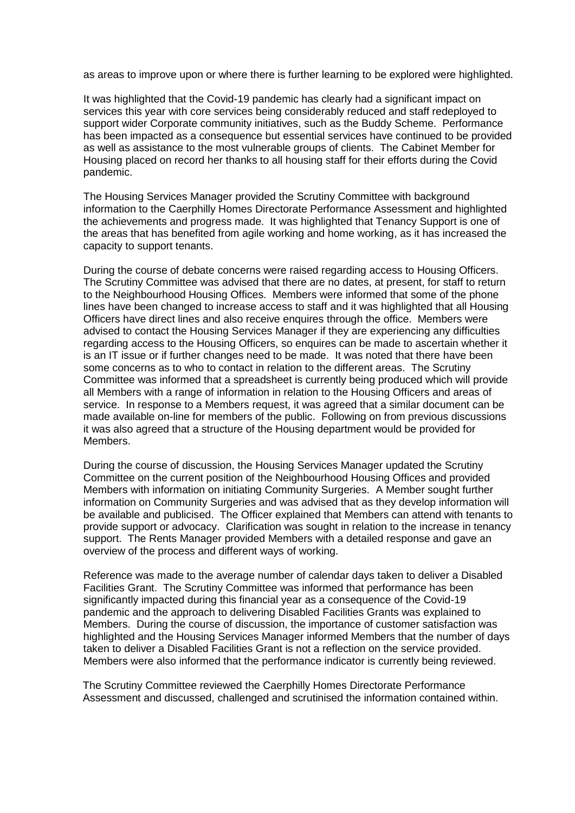as areas to improve upon or where there is further learning to be explored were highlighted.

It was highlighted that the Covid-19 pandemic has clearly had a significant impact on services this year with core services being considerably reduced and staff redeployed to support wider Corporate community initiatives, such as the Buddy Scheme. Performance has been impacted as a consequence but essential services have continued to be provided as well as assistance to the most vulnerable groups of clients. The Cabinet Member for Housing placed on record her thanks to all housing staff for their efforts during the Covid pandemic.

The Housing Services Manager provided the Scrutiny Committee with background information to the Caerphilly Homes Directorate Performance Assessment and highlighted the achievements and progress made. It was highlighted that Tenancy Support is one of the areas that has benefited from agile working and home working, as it has increased the capacity to support tenants.

During the course of debate concerns were raised regarding access to Housing Officers. The Scrutiny Committee was advised that there are no dates, at present, for staff to return to the Neighbourhood Housing Offices. Members were informed that some of the phone lines have been changed to increase access to staff and it was highlighted that all Housing Officers have direct lines and also receive enquires through the office. Members were advised to contact the Housing Services Manager if they are experiencing any difficulties regarding access to the Housing Officers, so enquires can be made to ascertain whether it is an IT issue or if further changes need to be made. It was noted that there have been some concerns as to who to contact in relation to the different areas. The Scrutiny Committee was informed that a spreadsheet is currently being produced which will provide all Members with a range of information in relation to the Housing Officers and areas of service. In response to a Members request, it was agreed that a similar document can be made available on-line for members of the public. Following on from previous discussions it was also agreed that a structure of the Housing department would be provided for Members.

During the course of discussion, the Housing Services Manager updated the Scrutiny Committee on the current position of the Neighbourhood Housing Offices and provided Members with information on initiating Community Surgeries. A Member sought further information on Community Surgeries and was advised that as they develop information will be available and publicised. The Officer explained that Members can attend with tenants to provide support or advocacy. Clarification was sought in relation to the increase in tenancy support. The Rents Manager provided Members with a detailed response and gave an overview of the process and different ways of working.

Reference was made to the average number of calendar days taken to deliver a Disabled Facilities Grant. The Scrutiny Committee was informed that performance has been significantly impacted during this financial year as a consequence of the Covid-19 pandemic and the approach to delivering Disabled Facilities Grants was explained to Members. During the course of discussion, the importance of customer satisfaction was highlighted and the Housing Services Manager informed Members that the number of days taken to deliver a Disabled Facilities Grant is not a reflection on the service provided. Members were also informed that the performance indicator is currently being reviewed.

The Scrutiny Committee reviewed the Caerphilly Homes Directorate Performance Assessment and discussed, challenged and scrutinised the information contained within.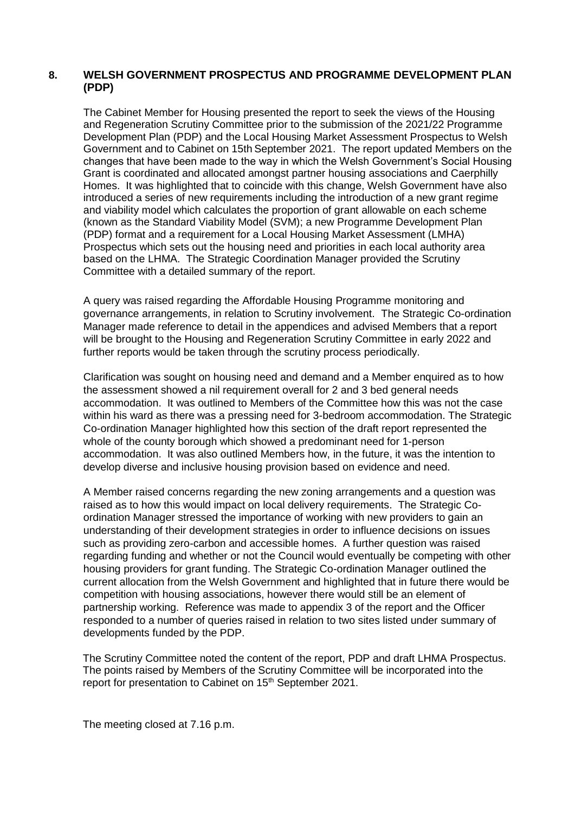## **8. WELSH GOVERNMENT PROSPECTUS AND PROGRAMME DEVELOPMENT PLAN (PDP)**

The Cabinet Member for Housing presented the report to seek the views of the Housing and Regeneration Scrutiny Committee prior to the submission of the 2021/22 Programme Development Plan (PDP) and the Local Housing Market Assessment Prospectus to Welsh Government and to Cabinet on 15th September 2021. The report updated Members on the changes that have been made to the way in which the Welsh Government's Social Housing Grant is coordinated and allocated amongst partner housing associations and Caerphilly Homes. It was highlighted that to coincide with this change, Welsh Government have also introduced a series of new requirements including the introduction of a new grant regime and viability model which calculates the proportion of grant allowable on each scheme (known as the Standard Viability Model (SVM); a new Programme Development Plan (PDP) format and a requirement for a Local Housing Market Assessment (LMHA) Prospectus which sets out the housing need and priorities in each local authority area based on the LHMA. The Strategic Coordination Manager provided the Scrutiny Committee with a detailed summary of the report.

A query was raised regarding the Affordable Housing Programme monitoring and governance arrangements, in relation to Scrutiny involvement. The Strategic Co-ordination Manager made reference to detail in the appendices and advised Members that a report will be brought to the Housing and Regeneration Scrutiny Committee in early 2022 and further reports would be taken through the scrutiny process periodically.

Clarification was sought on housing need and demand and a Member enquired as to how the assessment showed a nil requirement overall for 2 and 3 bed general needs accommodation. It was outlined to Members of the Committee how this was not the case within his ward as there was a pressing need for 3-bedroom accommodation. The Strategic Co-ordination Manager highlighted how this section of the draft report represented the whole of the county borough which showed a predominant need for 1-person accommodation. It was also outlined Members how, in the future, it was the intention to develop diverse and inclusive housing provision based on evidence and need.

A Member raised concerns regarding the new zoning arrangements and a question was raised as to how this would impact on local delivery requirements. The Strategic Coordination Manager stressed the importance of working with new providers to gain an understanding of their development strategies in order to influence decisions on issues such as providing zero-carbon and accessible homes. A further question was raised regarding funding and whether or not the Council would eventually be competing with other housing providers for grant funding. The Strategic Co-ordination Manager outlined the current allocation from the Welsh Government and highlighted that in future there would be competition with housing associations, however there would still be an element of partnership working. Reference was made to appendix 3 of the report and the Officer responded to a number of queries raised in relation to two sites listed under summary of developments funded by the PDP.

The Scrutiny Committee noted the content of the report, PDP and draft LHMA Prospectus. The points raised by Members of the Scrutiny Committee will be incorporated into the report for presentation to Cabinet on 15<sup>th</sup> September 2021.

The meeting closed at 7.16 p.m.